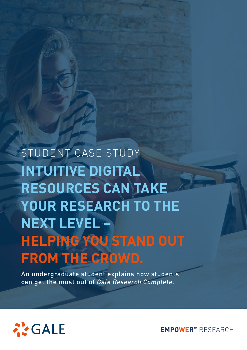# **INTUITIVE DIGITAL RESOURCES CAN TAKE YOUR RESEARCH TO THE NEXT LEVEL – HELPING YOU STAND OUT FROM THE CROWD.** STUDENT CASE STUDY

An undergraduate student explains how students can get the most out of *Gale Research Complete.*



**EMPOWER™** RESEARCH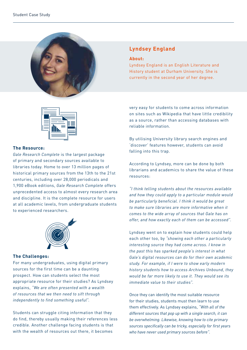



## **The Resource:**

*Gale Research Complete* is the largest package of primary and secondary sources available to libraries today. Home to over 13 million pages of historical primary sources from the 13th to the 21st centuries, including over 28,000 periodicals and 1,900 eBook editions, *Gale Research Complete* offers unprecedented access to almost every research area and discipline. It is the complete resource for users at all academic levels, from undergraduate students to experienced researchers.



## **The Challenges:**

For many undergraduates, using digital primary sources for the first time can be a daunting prospect. How can students select the most appropriate resource for their studies? As Lyndsey explains, *"We are often presented with a wealth of resources that we then need to sift through independently to find something useful".*

Students can struggle citing information that they do find, thereby usually making their references less credible. Another challenge facing students is that with the wealth of resources out there, it becomes

## **Lyndsey England**

#### **About:**

Lyndsey England is an English Literature and History student at Durham University. She is currently in the second year of her degree.

very easy for students to come across information on sites such as Wikipedia that have little credibility as a source, rather than accessing databases with reliable information.

By utilising University library search engines and 'discover' features however, students can avoid falling into this trap.

According to Lyndsey, more can be done by both librarians and academics to share the value of these resources:

*"I think telling students about the resources available and how they could apply to a particular module would be particularly beneficial. I think it would be great to make sure libraries are more informative when it comes to the wide array of sources that Gale has on offer, and how exactly each of them can be accessed".* 

Lyndsey went on to explain how students could help each other too, by *"showing each other a particularly interesting source they had come across. I know in the past this has sparked people's interest in what Gale's digital resources can do for their own academic study. For example, if I were to show early modern history students how to access Archives Unbound, they would be far more likely to use it. They would see its immediate value to their studies".*

Once they can identify the most suitable resource for their studies, students must then learn to use them effectively. As Lyndsey explains, *"With all of the different sources that pop up with a single search, it can be overwhelming. Likewise, knowing how to cite primary sources specifically can be tricky, especially for first years who have never used primary sources before".*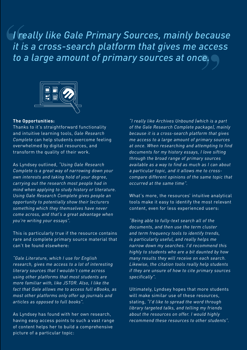**"** *to a large amount of primary sources at once.***<br>
<br>**  $\boxed{\begin{array}{c} \boxed{\color{red}\text{B} \ \boxed{\color{green}\text{C}}\ \boxed{\color{green}\text{C}} \end{array}}$ *I really like Gale Primary Sources, mainly because it is a cross-search platform that gives me access* 



## **The Opportunities:**

Thanks to it's straightforward functionality and intuitive learning tools, *Gale Research Complete* can help students overcome feeling overwhelmed by digital resources, and transform the quality of their work.

As Lyndsey outlined, *"Using Gale Research Complete is a great way of narrowing down your own interests and taking hold of your degree, carrying out the research most people had in mind when applying to study history or literature. Using Gale Research Complete gives people an opportunity to potentially show their lecturers something which they themselves have never come across, and that's a great advantage when you're writing your essays".*

This is particularly true if the resource contains rare and complete primary source material that can't be found elsewhere:

*"Gale Literature, which I use for English research, gives me access to a lot of interesting literary sources that I wouldn't come across using other platforms that most students are more familiar with, like JSTOR. Also, I like the fact that Gale allows me to access full eBooks, as most other platforms only offer up journals and articles as opposed to full books".*

As Lyndsey has found with her own research, having easy access points to such a vast range of content helps her to build a comprehensive picture of a particular topic:

*"I really like Archives Unbound (which is a part of the Gale Research Complete package), mainly because it is a cross-search platform that gives me access to a large amount of primary sources at once. When researching and attempting to find documents for my history essays, I love sifting through the broad range of primary sources available as a way to find as much as I can about a particular topic, and it allows me to crosscompare different opinions of the same topic that occurred at the same time".* 

What's more, the resources' intuitive analytical tools make it easy to identify the most relevant content, even for less experienced users:

*"Being able to fully-text search all of the documents, and then use the term cluster and term frequency tools to identify trends, is particularly useful, and really helps me narrow down my searches. I'd recommend this highly to students who are a bit daunted by how many results they will receive on each search. Likewise, the citation tools really help students if they are unsure of how to cite primary sources specifically".*

Ultimately, Lyndsey hopes that more students will make similar use of these resources, stating, *"I'd like to spread the word through library targeted talks, and telling my friends about the resources on offer. I would highly recommend these resources to other students".*